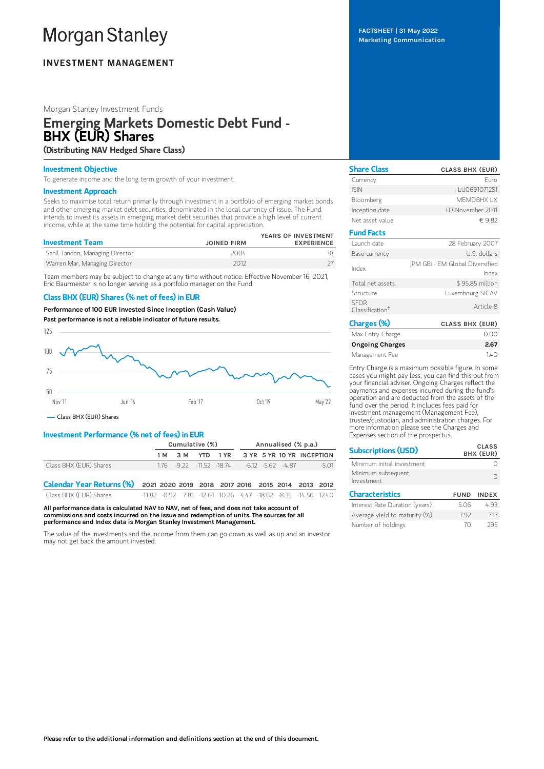# **Morgan Stanley**

# **INVESTMENT MANAGEMENT**

#### Morgan Stanley Investment Funds

# Emerging Markets Domestic Debt Fund - BHX (EUR) Shares (Distributing NAV Hedged Share Class)

#### Investment Objective

To generate income and the long term growth of your investment.

#### Investment Approach

Seeks to maximise total return primarily through investment in a portfolio of emerging market bonds and other emerging market debt securities, denominated in the local currency of issue. The Fund intends to invest its assets in emerging market debt securities that provide a high level of current income, while at the same time holding the potential for capital appreciation.

| <b>Investment Team</b>          | <b>JOINED FIRM</b> | YEARS OF INVESTMENT<br><b>EXPERIENCE</b> |
|---------------------------------|--------------------|------------------------------------------|
| Sahil Tandon, Managing Director | 2004               |                                          |
| Warren Mar, Managing Director   | 2012               |                                          |

Team members may be subject to change at any time without notice. Effective November 16, 2021, Eric Baurmeister is no longer serving as a portfolio manager on the Fund.

#### Class BHX (EUR) Shares (% net of fees) in EUR

Performance of 100 EUR Invested Since Inception (Cash Value)

Past performance is not a reliable indicator of future results.



Class BHX (EUR) Shares

### Investment Performance (% net of fees) in EUR

|                                                                             | Cumulative (%) |     |     | Annualised (% p.a.) |      |                                                               |  |                           |  |         |
|-----------------------------------------------------------------------------|----------------|-----|-----|---------------------|------|---------------------------------------------------------------|--|---------------------------|--|---------|
|                                                                             |                | 1 M | 3 M | YTD.                | 1 YR |                                                               |  | 3 YR 5 YR 10 YR INCEPTION |  |         |
| Class BHX (EUR) Shares                                                      |                |     |     |                     |      | $1.76$ $-9.22$ $-11.52$ $-18.74$ $-6.12$ $-5.62$ $-4.87$      |  |                           |  | $-5.01$ |
| Calendar Year Returns (%) 2021 2020 2019 2018 2017 2016 2015 2014 2013 2012 |                |     |     |                     |      |                                                               |  |                           |  |         |
| Class BHX (EUR) Shares                                                      |                |     |     |                     |      | -11.82 -0.92 7.81 -12.01 10.26 4.47 -18.62 -8.35 -14.56 12.40 |  |                           |  |         |

All performance data is calculated NAV to NAV, net of fees, and does not take account of commissions and costs incurred on the issue and redemption of units. The sources for all performance and Index data is Morgan Stanley Investment Management.

The value of the investments and the income from them can go down as well as up and an investor may not get back the amount invested.

FACTSHEET | 31 May 2022 Marketing Communication

| <b>Share Class</b>                         | <b>CLASS BHX (EUR)</b>                   |
|--------------------------------------------|------------------------------------------|
| Currency                                   | Furo                                     |
| <b>ISIN</b>                                | LU0691071251                             |
| Bloomberg                                  | MFMDBHX I X                              |
| Inception date                             | 03 November 2011                         |
| Net asset value                            | €9.82                                    |
| <b>Fund Facts</b>                          |                                          |
| I aunch date                               | 28 February 2007                         |
| Base currency                              | U.S. dollars                             |
| Index                                      | JPM GBI - EM Global Diversified<br>Index |
| Total net assets                           | \$95.85 million                          |
| Structure                                  | Luxembourg SICAV                         |
| <b>SFDR</b><br>Classification <sup>†</sup> | Article 8                                |
| Charges (%)                                | <b>CLASS BHX (EUR)</b>                   |
| $M_{\text{max}}$ Fata $C$ and $C$          | $\cap$ $\cap$                            |

| Max Entry Charge       | 0.00 |
|------------------------|------|
| <b>Ongoing Charges</b> | 2.67 |
| Management Fee         | 140  |

Entry Charge is a maximum possible figure. In some cases you might pay less, you can find this out from your financial adviser. Ongoing Charges reflect the payments and expenses incurred during the fund's operation and are deducted from the assets of the fund over the period. It includes fees paid for investment management (Management Fee), trustee/custodian, and administration charges. For more information please see the Charges and Expenses section of the prospectus.

| <b>Subscriptions (USD)</b>       |             | <b>CLASS</b><br>BHX (EUR) |  |  |  |
|----------------------------------|-------------|---------------------------|--|--|--|
| Minimum initial investment       |             |                           |  |  |  |
| Minimum subsequent<br>Investment |             |                           |  |  |  |
| <b>Characteristics</b>           | <b>FUND</b> | <b>INDEX</b>              |  |  |  |
| Interest Rate Duration (years)   | 5.06        | 493                       |  |  |  |
| Average yield to maturity (%)    | 792         | 717                       |  |  |  |
| Number of holdings               | 7Λ          | 795                       |  |  |  |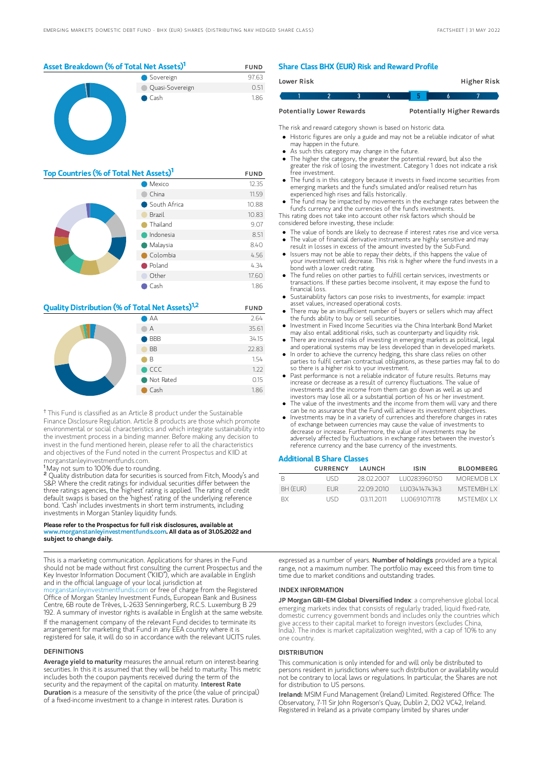

| Top Countries (% of Total Net Assets) <sup>1</sup> | <b>FUND</b>  |       |
|----------------------------------------------------|--------------|-------|
|                                                    | 12.35        |       |
|                                                    | China        | 11.59 |
|                                                    | South Africa | 10.88 |
|                                                    | Brazil       | 10.83 |
|                                                    | Thailand     | 9.07  |
|                                                    | Indonesia    | 8.51  |
|                                                    | Malaysia     | 8.40  |
|                                                    | Colombia     | 4.56  |
|                                                    | Poland       | 4.34  |
|                                                    | Other        | 17.60 |
|                                                    | Cash         | 1.86  |

#### **Quality Distribution (% of Total Net Assets)**<sup>1,2</sup> FUND



<sup>†</sup> This Fund is classified as an Article 8 product under the Sustainable Finance Disclosure Regulation. Article 8 products are those which promote environmental or social characteristics and which integrate sustainability into the investment process in a binding manner. Before making any decision to invest in the fund mentioned herein, please refer to all the characteristics and objectives of the Fund noted in the current Prospectus and KIID at morganstanleyinvestmentfunds.com.

May not sum to 100% due to rounding. 1

Quality distribution data for securities is sourced from Fitch, Moody's and S&P. Where the credit ratings for individual securities differ between the three ratings agencies, the 'highest' rating is applied. The rating of credit default swaps is based on the 'highest' rating of the underlying reference bond. 'Cash' includes investments in short term instruments, including investments in Morgan Stanley liquidity funds. 2

#### Please refer to the Prospectus for full risk disclosures, available at www.morganstanleyinvestmentfunds.com. All data as of 31.05.2022 and subject to change daily.

This is a marketing communication. Applications for shares in the Fund should not be made without first consulting the current Prospectus and the Key Investor Information Document ("KIID"), which are available in English and in the official language of your local jurisdiction at

[morganstanleyinvestmentfunds.com](https://www.morganstanley.com/im/msinvf/index.html) or free of charge from the Registered Office of Morgan Stanley Investment Funds, European Bank and Business Centre, 6B route de Trèves, L-2633 Senningerberg, R.C.S. Luxemburg B 29 192. A summary of investor rights is available in English at the same website. If the management company of the relevant Fund decides to terminate its arrangement for marketing that Fund in any EEA country where it is registered for sale, it will do so in accordance with the relevant UCITS rules.

#### DEFINITIONS

Average yield to maturity measures the annual return on interest-bearing securities. In this it is assumed that they will be held to maturity. This metric includes both the coupon payments received during the term of the security and the repayment of the capital on maturity. Interest Rate Duration is a measure of the sensitivity of the price (the value of principal) of a fixed-income investment to a change in interest rates. Duration is

#### Share Class BHX (EUR) Risk and Reward Profile

|                                  | Lower Risk |  |  |  |                                   | Higher Risk |  |
|----------------------------------|------------|--|--|--|-----------------------------------|-------------|--|
|                                  |            |  |  |  |                                   |             |  |
| <b>Potentially Lower Rewards</b> |            |  |  |  | <b>Potentially Higher Rewards</b> |             |  |

The risk and reward category shown is based on historic data.

Historic figures are only a guide and may not be a reliable indicator of what may happen in the future.

- As such this category may change in the future.
- The higher the category, the greater the potential reward, but also the
- greater the risk of losing the investment. Category 1 does not indicate a risk free investment.
- The fund is in this category because it invests in fixed income securities from emerging markets and the fund's simulated and/or realised return has experienced high rises and falls historically.
- The fund may be impacted by movements in the exchange rates between the fund's currency and the currencies of the fund's investments.

This rating does not take into account other risk factors which should be considered before investing, these include:

- The value of bonds are likely to decrease if interest rates rise and vice versa.
- The value of financial derivative instruments are highly sensitive and may result in losses in excess of the amount invested by the Sub-Fund. Issuers may not be able to repay their debts, if this happens the value of
- your investment will decrease. This risk is higher where the fund invests in a bond with a lower credit rating.
- The fund relies on other parties to fulfill certain services, investments or transactions. If these parties become insolvent, it may expose the fund to financial loss.
- Sustainability factors can pose risks to investments, for example: impact asset values, increased operational costs.
- There may be an insufficient number of buyers or sellers which may affect the funds ability to buy or sell securities.
- Investment in Fixed Income Securities via the China Interbank Bond Market may also entail additional risks, such as counterparty and liquidity risk.
- There are increased risks of investing in emerging markets as political, legal and operational systems may be less developed than in developed markets. In order to achieve the currency hedging, this share class relies on other
- parties to fulfil certain contractual obligations, as these parties may fail to do so there is a higher risk to your investment.
- Past performance is not a reliable indicator of future results. Returns may increase or decrease as a result of currency fluctuations. The value of investments and the income from them can go down as well as up and investors may lose all or a substantial portion of his or her investment.
- The value of the investments and the income from them will vary and there can be no assurance that the Fund will achieve its investment objectives.
- Investments may be in a variety of currencies and therefore changes in rates of exchange between currencies may cause the value of investments to decrease or increase. Furthermore, the value of investments may be adversely affected by fluctuations in exchange rates between the investor's reference currency and the base currency of the investments.

#### Additional B Share Classes

|           | <b>CURRENCY</b> | LAUNCH     | ISIN         | <b>BLOOMBERG</b> |
|-----------|-----------------|------------|--------------|------------------|
| B         | LISD.           | 28.02.2007 | LU0283960150 | MOREMDR I X      |
| BH (EUR)  | <b>FUR</b>      | 22.09.2010 | LU0341474343 | MSTEMBH I X      |
| <b>BX</b> | LISD.           | 03112011   | LU0691071178 | MSTEMBX LX       |

expressed as a number of years. Number of holdings provided are a typical range, not a maximum number. The portfolio may exceed this from time to time due to market conditions and outstanding trades.

#### INDEX INFORMATION

JP Morgan GBI-EM Global Diversified Index: a comprehensive global local emerging markets index that consists of regularly traded, liquid fixed-rate, domestic currency government bonds and includes only the countries which give access to their capital market to foreign investors (excludes China, India). The index is market capitalization weighted, with a cap of 10% to any one country.

#### **DISTRIBUTION**

This communication is only intended for and will only be distributed to persons resident in jurisdictions where such distribution or availability would not be contrary to local laws or regulations. In particular, the Shares are not for distribution to US persons.

Ireland: MSIM Fund Management (Ireland) Limited. Registered Office: The Observatory, 7-11 Sir John Rogerson's Quay, Dublin 2, D02 VC42, Ireland. Registered in Ireland as a private company limited by shares under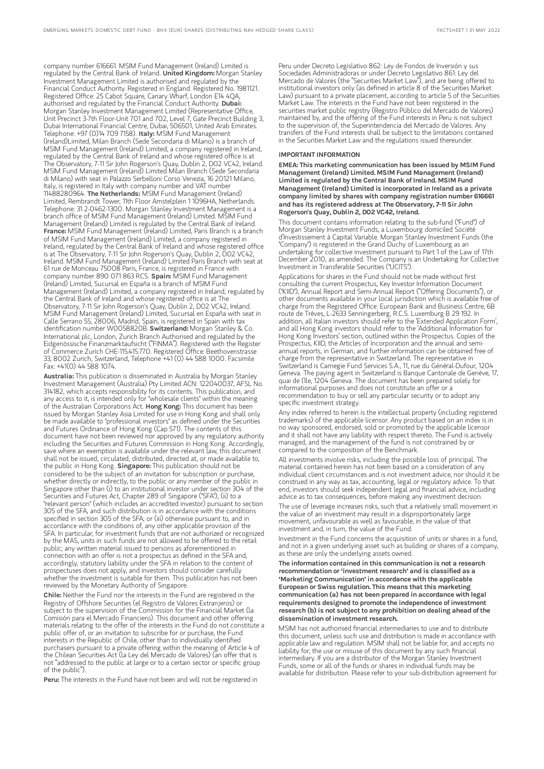company number 616661. MSIM Fund Management (Ireland) Limited is regulated by the Central Bank of Ireland. United Kingdom: Morgan Stanley Investment Management Limited is authorised and regulated by the Financial Conduct Authority. Registered in England. Registered No. 1981121. Registered Office: 25 Cabot Square, Canary Wharf, London E14 4QA, authorised and regulated by the Financial Conduct Authority. Dubai: Morgan Stanley Investment Management Limited (Representative Office, Unit Precinct 3-7th Floor-Unit 701 and 702, Level 7, Gate Precinct Building 3, Dubai International Financial Centre, Dubai, 506501, United Arab Emirates. Telephone: +97 (0)14 709 7158). **Italy:** MSIM Fund Management (Ireland)Limited, Milan Branch (Sede Secondaria di Milano) is a branch of MSIM Fund Management (Ireland) Limited, a company registered in Ireland, regulated by the Central Bank of Ireland and whose registered office is at The Observatory, 7-11 Sir John Rogerson's Quay, Dublin 2, D02 VC42, Ireland. MSIM Fund Management (Ireland) Limited Milan Branch (Sede Secondaria di Milano) with seat in Palazzo Serbelloni Corso Venezia, 16 20121 Milano, Italy, is registered in Italy with company number and VAT number 11488280964. The Netherlands: MSIM Fund Management (Ireland) Limited, Rembrandt Tower, 11th Floor Amstelplein 1 1096HA, Netherlands. Telephone: 31 2-0462-1300. Morgan Stanley Investment Management is a branch office of MSIM Fund Management (Ireland) Limited. MSIM Fund Management (Ireland) Limited is regulated by the Central Bank of Ireland. France: MSIM Fund Management (Ireland) Limited, Paris Branch is a branch of MSIM Fund Management (Ireland) Limited, a company registered in Ireland, regulated by the Central Bank of Ireland and whose registered office is at The Observatory, 7-11 Sir John Rogerson's Quay, Dublin 2, D02 VC42, Ireland. MSIM Fund Management (Ireland) Limited Paris Branch with seat at 61 rue de Monceau 75008 Paris, France, is registered in France with company number 890 071 863 RCS. Spain: MSIM Fund Management (Ireland) Limited, Sucursal en España is a branch of MSIM Fund Management (Ireland) Limited, a company registered in Ireland, regulated by the Central Bank of Ireland and whose registered office is at The Observatory, 7-11 Sir John Rogerson's Quay, Dublin 2, D02 VC42, Ireland. MSIM Fund Management (Ireland) Limited, Sucursal en España with seat in Calle Serrano 55, 28006, Madrid, Spain, is registered in Spain with tax identification number W0058820B. Switzerland: Morgan Stanley & Co. International plc, London, Zurich Branch Authorised and regulated by the Eidgenössische Finanzmarktaufsicht ("FINMA"). Registered with the Register of Commerce Zurich CHE-115.415.770. Registered Office: Beethovenstrasse 33, 8002 Zurich, Switzerland, Telephone +41 (0) 44 588 1000. Facsimile Fax: +41(0) 44 588 1074.

Australia: This publication is disseminated in Australia by Morgan Stanley Investment Management (Australia) Pty Limited ACN: 122040037, AFSL No. 314182, which accepts responsibility for its contents. This publication, and any access to it, is intended only for "wholesale clients" within the meaning of the Australian Corporations Act. Hong Kong: This document has been issued by Morgan Stanley Asia Limited for use in Hong Kong and shall only be made available to "professional investors" as defined under the Securities and Futures Ordinance of Hong Kong (Cap 571). The contents of this document have not been reviewed nor approved by any regulatory authority including the Securities and Futures Commission in Hong Kong. Accordingly, save where an exemption is available under the relevant law, this document shall not be issued, circulated, distributed, directed at, or made available to, the public in Hong Kong. Singapore: This publication should not be considered to be the subject of an invitation for subscription or purchase, whether directly or indirectly, to the public or any member of the public Singapore other than (i) to an institutional investor under section 304 of the Securities and Futures Act, Chapter 289 of Singapore ("SFA"), (ii) to a "relevant person" (which includes an accredited investor) pursuant to section 305 of the SFA, and such distribution is in accordance with the conditions specified in section 305 of the SFA; or (iii) otherwise pursuant to, and in accordance with the conditions of, any other applicable provision of the SFA. In particular, for investment funds that are not authorized or recognized by the MAS, units in such funds are not allowed to be offered to the retail public; any written material issued to persons as aforementioned in connection with an offer is not a prospectus as defined in the SFA and, accordingly, statutory liability under the SFA in relation to the content of prospectuses does not apply, and investors should consider carefully whether the investment is suitable for them. This publication has not been reviewed by the Monetary Authority of Singapore.

Chile: Neither the Fund nor the interests in the Fund are registered in the Registry of Offshore Securities (el Registro de Valores Extranjeros) or subject to the supervision of the Commission for the Financial Market (la Comisión para el Mercado Financiero). This document and other offering materials relating to the offer of the interests in the Fund do not constitute a public offer of, or an invitation to subscribe for or purchase, the Fund interests in the Republic of Chile, other than to individually identified purchasers pursuant to a private offering within the meaning of Article 4 of the Chilean Securities Act (la Ley del Mercado de Valores) (an offer that is not "addressed to the public at large or to a certain sector or specific group of the public").

Peru: The interests in the Fund have not been and will not be registered in

Peru under Decreto Legislativo 862: Ley de Fondos de Inversión y sus Sociedades Administradoras or under Decreto Legislativo 861: Ley del Mercado de Valores (the "Securities Market Law"), and are being offered to institutional investors only (as defined in article 8 of the Securities Market Law) pursuant to a private placement, according to article 5 of the Securities Market Law. The interests in the Fund have not been registered in the securities market public registry (Registro Público del Mercado de Valores) maintained by, and the offering of the Fund interests in Peru is not subject to the supervision of, the Superintendencia del Mercado de Valores. Any transfers of the Fund interests shall be subject to the limitations contained in the Securities Market Law and the regulations issued thereunder.

#### IMPORTANT INFORMATION

EMEA: This marketing communication has been issued by MSIM Fund Management (Ireland) Limited. MSIM Fund Management (Ireland) Limited is regulated by the Central Bank of Ireland. MSIM Fund Management (Ireland) Limited is incorporated in Ireland as a private company limited by shares with company registration number 616661 and has its registered address at The Observatory, 7-11 Sir John Rogerson's Quay, Dublin 2, D02 VC42, Ireland.

This document contains information relating to the sub-fund ("Fund") of Morgan Stanley Investment Funds, a Luxembourg domiciled Société d'Investissement à Capital Variable. Morgan Stanley Investment Funds (the "Company") is registered in the Grand Duchy of Luxembourg as an undertaking for collective investment pursuant to Part 1 of the Law of 17th December 2010, as amended. The Company is an Undertaking for Collective Investment in Transferable Securities ("UCITS").

Applications for shares in the Fund should not be made without first consulting the current Prospectus, Key Investor Information Document ("KIID"), Annual Report and Semi-Annual Report ("Offering Documents"), or other documents available in your local jurisdiction which is available free of charge from the Registered Office: European Bank and Business Centre, 6B route de Trèves, L-2633 Senningerberg, R.C.S. Luxemburg B 29 192. In addition, all Italian investors should refer to the 'Extended Application Form', and all Hong Kong investors should refer to the 'Additional Information for Hong Kong Investors' section, outlined within the Prospectus. Copies of the Prospectus, KIID, the Articles of Incorporation and the annual and semiannual reports, in German, and further information can be obtained free of charge from the representative in Switzerland. The representative in Switzerland is Carnegie Fund Services S.A., 11, rue du Général-Dufour, 1204 Geneva. The paying agent in Switzerland is Banque Cantonale de Genève, 17, quai de l'Ile, 1204 Geneva. The document has been prepared solely for informational purposes and does not constitute an offer or a recommendation to buy or sell any particular security or to adopt any specific investment strategy.

Any index referred to herein is the intellectual property (including registered trademarks) of the applicable licensor. Any product based on an index is in no way sponsored, endorsed, sold or promoted by the applicable licensor and it shall not have any liability with respect thereto. The Fund is actively managed, and the management of the fund is not constrained by or compared to the composition of the Benchmark.

All investments involve risks, including the possible loss of principal. The material contained herein has not been based on a consideration of any individual client circumstances and is not investment advice, nor should it be construed in any way as tax, accounting, legal or regulatory advice. To that end, investors should seek independent legal and financial advice, including advice as to tax consequences, before making any investment decision.

The use of leverage increases risks, such that a relatively small movement in the value of an investment may result in a disproportionately large movement, unfavourable as well as favourable, in the value of that investment and, in turn, the value of the Fund.

Investment in the Fund concerns the acquisition of units or shares in a fund, and not in a given underlying asset such as building or shares of a company, as these are only the underlying assets owned

The information contained in this communication is not a research recommendation or 'investment research' and is classified as a 'Marketing Communication' in accordance with the applicable European or Swiss regulation. This means that this marketing communication (a) has not been prepared in accordance with legal requirements designed to promote the independence of investment research (b) is not subject to any prohibition on dealing ahead of the dissemination ofinvestment research.

MSIM has not authorised financial intermediaries to use and to distribute this document, unless such use and distribution is made in accordance with applicable law and regulation. MSIM shall not be liable for, and accepts no liability for, the use or misuse of this document by any such financial intermediary. If you are a distributor of the Morgan Stanley Investment Funds, some or all of the funds or shares in individual funds may be available for distribution. Please refer to your sub-distribution agreement for